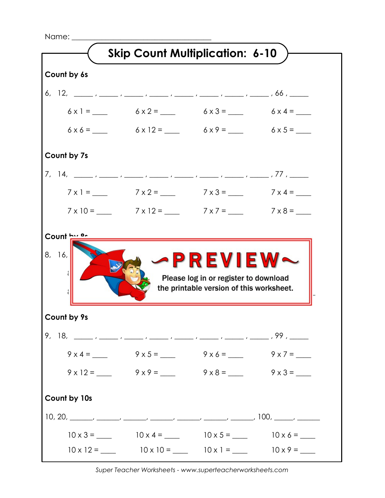Name:

| <b>Skip Count Multiplication: 6-10</b>                                  |                                                                                                                                                                                                                                     |                                                                                                                      |  |
|-------------------------------------------------------------------------|-------------------------------------------------------------------------------------------------------------------------------------------------------------------------------------------------------------------------------------|----------------------------------------------------------------------------------------------------------------------|--|
| Count by 6s                                                             |                                                                                                                                                                                                                                     |                                                                                                                      |  |
| 6, 12, ____, ___, ____, ____, ____, ____, ____, ____, ___, 66, ____     |                                                                                                                                                                                                                                     |                                                                                                                      |  |
|                                                                         | $6 \times 1 =$ $6 \times 2 =$ $6 \times 3 =$ $6 \times 4 =$                                                                                                                                                                         |                                                                                                                      |  |
|                                                                         | $6 \times 6 =$ 6x12= 6x9= 6x9= 6x5=                                                                                                                                                                                                 |                                                                                                                      |  |
| Count by 7s                                                             |                                                                                                                                                                                                                                     |                                                                                                                      |  |
| 7, 14, ____, ___, ____, ____, ____, ____, ____, ____, ____, 77 , ____   |                                                                                                                                                                                                                                     |                                                                                                                      |  |
|                                                                         | $7 \times 1 =$ $7 \times 2 =$ $7 \times 3 =$ $7 \times 4 =$                                                                                                                                                                         |                                                                                                                      |  |
|                                                                         | $7 \times 10 =$ $7 \times 12 =$ $7 \times 7 =$ $7 \times 8 =$ $7 \times 8 =$                                                                                                                                                        |                                                                                                                      |  |
| Count by Or<br>8, 16,                                                   |                                                                                                                                                                                                                                     |                                                                                                                      |  |
|                                                                         |                                                                                                                                                                                                                                     | $\triangleright$ PREVIEW $\sim$<br>Please log in or register to download<br>the printable version of this worksheet. |  |
| Count by 9s                                                             |                                                                                                                                                                                                                                     |                                                                                                                      |  |
|                                                                         |                                                                                                                                                                                                                                     |                                                                                                                      |  |
|                                                                         | $9 \times 4 =$ 9x5 = 9x6 = 9x6 = 9x7 = 9x7 = 9x7 = 9x7 = 9x7 = 0x7 = 0x7 = 0x7 = 0x7 = 0x7 = 0x7 = 0x7 = 0x7 = 0x7 = 0x7 = 0x7 = 0x7 = 0x7 = 0x7 = 0x7 = 0x7 = 0x7 = 0x7 = 0x7 = 0x7 = 0x7 = 0x7 = 0x7 = 0x7 = 0x7 = 0x7 = 0x7 = 0x |                                                                                                                      |  |
| 9, 18, _____, ____, ____, ____, ____, ____, ____, ____, ____, 99, _____ | $9 \times 12 =$ $9 \times 9 =$ $9 \times 8 =$ $9 \times 3 =$ $9 \times 3 =$                                                                                                                                                         |                                                                                                                      |  |
| Count by 10s                                                            |                                                                                                                                                                                                                                     |                                                                                                                      |  |
|                                                                         |                                                                                                                                                                                                                                     |                                                                                                                      |  |
|                                                                         | $10 \times 3 =$ $10 \times 4 =$ $10 \times 5 =$ $10 \times 5 =$ $10 \times 6 =$ $10 \times 7 =$                                                                                                                                     |                                                                                                                      |  |

*Super Teacher Worksheets - www.superteacherworksheets.com*